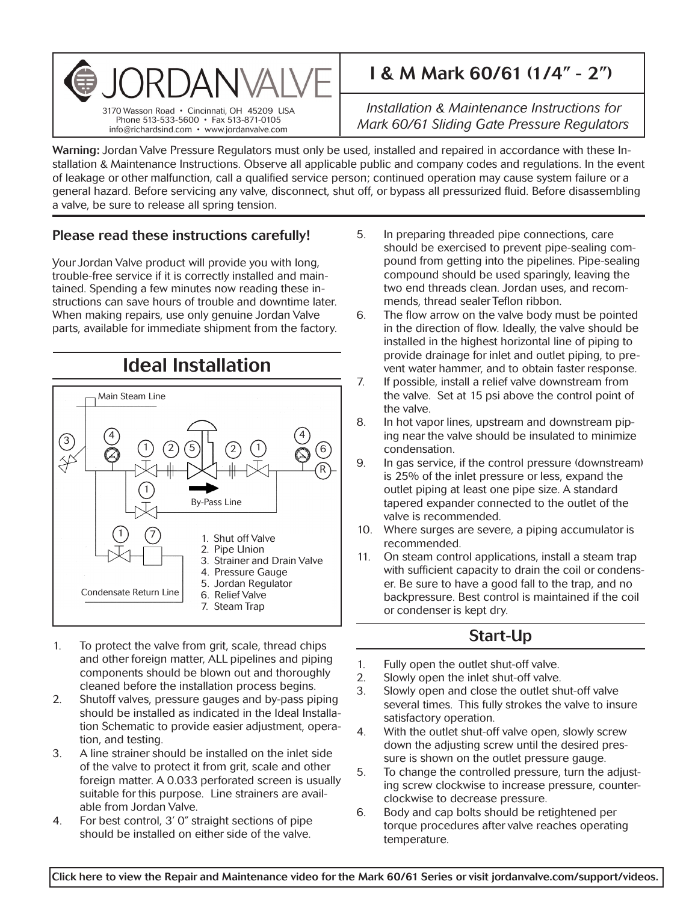

# I & M Mark 60/61 (1/4" - 2")

*Installation & Maintenance Instructions for Mark 60/61 Sliding Gate Pressure Regulators*

Warning: Jordan Valve Pressure Regulators must only be used, installed and repaired in accordance with these Installation & Maintenance Instructions. Observe all applicable public and company codes and regulations. In the event of leakage or other malfunction, call a qualified service person; continued operation may cause system failure or a general hazard. Before servicing any valve, disconnect, shut off, or bypass all pressurized fluid. Before disassembling a valve, be sure to release all spring tension.

### Please read these instructions carefully!

Your Jordan Valve product will provide you with long, trouble-free service if it is correctly installed and maintained. Spending a few minutes now reading these instructions can save hours of trouble and downtime later. When making repairs, use only genuine Jordan Valve parts, available for immediate shipment from the factory.



- 1. To protect the valve from grit, scale, thread chips and other foreign matter, ALL pipelines and piping components should be blown out and thoroughly cleaned before the installation process begins.
- 2. Shutoff valves, pressure gauges and by-pass piping should be installed as indicated in the Ideal Installation Schematic to provide easier adjustment, operation, and testing.
- 3. A line strainer should be installed on the inlet side of the valve to protect it from grit, scale and other foreign matter. A 0.033 perforated screen is usually suitable for this purpose. Line strainers are available from Jordan Valve.
- 4. For best control, 3' 0" straight sections of pipe should be installed on either side of the valve.
- 5. In preparing threaded pipe connections, care should be exercised to prevent pipe-sealing compound from getting into the pipelines. Pipe-sealing compound should be used sparingly, leaving the two end threads clean. Jordan uses, and recommends, thread sealer Teflon ribbon.
- 6. The flow arrow on the valve body must be pointed in the direction of flow. Ideally, the valve should be installed in the highest horizontal line of piping to provide drainage for inlet and outlet piping, to prevent water hammer, and to obtain faster response.
- 7. If possible, install a relief valve downstream from the valve. Set at 15 psi above the control point of the valve.
- 8. In hot vapor lines, upstream and downstream piping near the valve should be insulated to minimize condensation.
- 9. In gas service, if the control pressure (downstream) is 25% of the inlet pressure or less, expand the outlet piping at least one pipe size. A standard tapered expander connected to the outlet of the valve is recommended.
- 10. Where surges are severe, a piping accumulator is recommended.
- 11. On steam control applications, install a steam trap with sufficient capacity to drain the coil or condenser. Be sure to have a good fall to the trap, and no backpressure. Best control is maintained if the coil or condenser is kept dry.

# Start-Up

- 1. Fully open the outlet shut-off valve.
- 2. Slowly open the inlet shut-off valve.
- 3. Slowly open and close the outlet shut-off valve several times. This fully strokes the valve to insure satisfactory operation.
- 4. With the outlet shut-off valve open, slowly screw down the adjusting screw until the desired pressure is shown on the outlet pressure gauge.
- 5. To change the controlled pressure, turn the adjusting screw clockwise to increase pressure, counterclockwise to decrease pressure.
- 6. Body and cap bolts should be retightened per torque procedures after valve reaches operating temperature.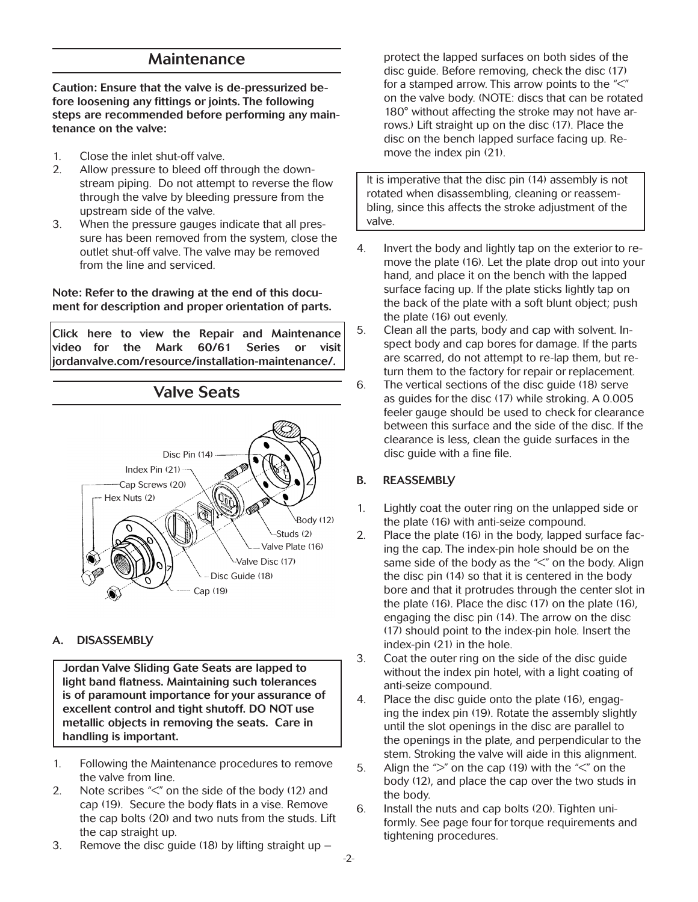### Maintenance

Caution: Ensure that the valve is de-pressurized before loosening any fittings or joints. The following steps are recommended before performing any maintenance on the valve:

- 1. Close the inlet shut-off valve.
- 2. Allow pressure to bleed off through the downstream piping. Do not attempt to reverse the flow through the valve by bleeding pressure from the upstream side of the valve.
- 3. When the pressure gauges indicate that all pressure has been removed from the system, close the outlet shut-off valve. The valve may be removed from the line and serviced.

Note: Refer to the drawing at the end of this document for description and proper orientation of parts.

[Click here to view the Repair and Maintenance](https://www.jordanvalve.com/resource/installation-maintenance/)  video for the Mark 60/61 Series or visit jordanvalve.com/resource/installation-maintenance/.



#### A. DISASSEMBLY

Jordan Valve Sliding Gate Seats are lapped to light band flatness. Maintaining such tolerances is of paramount importance for your assurance of excellent control and tight shutoff. DO NOT use metallic objects in removing the seats. Care in handling is important.

- 1. Following the Maintenance procedures to remove the valve from line.
- 2. Note scribes "<" on the side of the body (12) and cap (19). Secure the body flats in a vise. Remove the cap bolts (20) and two nuts from the studs. Lift the cap straight up.
- 3. Remove the disc guide (18) by lifting straight up –

protect the lapped surfaces on both sides of the disc guide. Before removing, check the disc (17) for a stamped arrow. This arrow points to the  $\ll$ " on the valve body. (NOTE: discs that can be rotated 180° without affecting the stroke may not have arrows.) Lift straight up on the disc (17). Place the disc on the bench lapped surface facing up. Remove the index pin (21).

It is imperative that the disc pin (14) assembly is not rotated when disassembling, cleaning or reassembling, since this affects the stroke adjustment of the valve.

- 4. Invert the body and lightly tap on the exterior to remove the plate (16). Let the plate drop out into your hand, and place it on the bench with the lapped surface facing up. If the plate sticks lightly tap on the back of the plate with a soft blunt object; push the plate (16) out evenly.
- 5. Clean all the parts, body and cap with solvent. Inspect body and cap bores for damage. If the parts are scarred, do not attempt to re-lap them, but return them to the factory for repair or replacement.
- 6. The vertical sections of the disc guide (18) serve as guides for the disc (17) while stroking. A 0.005 feeler gauge should be used to check for clearance between this surface and the side of the disc. If the clearance is less, clean the guide surfaces in the disc guide with a fine file.

### B. REASSEMBLY

- 1. Lightly coat the outer ring on the unlapped side or the plate (16) with anti-seize compound.
- 2. Place the plate (16) in the body, lapped surface facing the cap. The index-pin hole should be on the same side of the body as the "<" on the body. Align the disc pin (14) so that it is centered in the body bore and that it protrudes through the center slot in the plate (16). Place the disc (17) on the plate (16), engaging the disc pin (14). The arrow on the disc (17) should point to the index-pin hole. Insert the index-pin (21) in the hole.
- 3. Coat the outer ring on the side of the disc guide without the index pin hotel, with a light coating of anti-seize compound.
- 4. Place the disc guide onto the plate (16), engaging the index pin (19). Rotate the assembly slightly until the slot openings in the disc are parallel to the openings in the plate, and perpendicular to the stem. Stroking the valve will aide in this alignment.
- 5. Align the " $>$ " on the cap (19) with the " $<$ " on the body (12), and place the cap over the two studs in the body.
- 6. Install the nuts and cap bolts (20). Tighten uniformly. See page four for torque requirements and tightening procedures.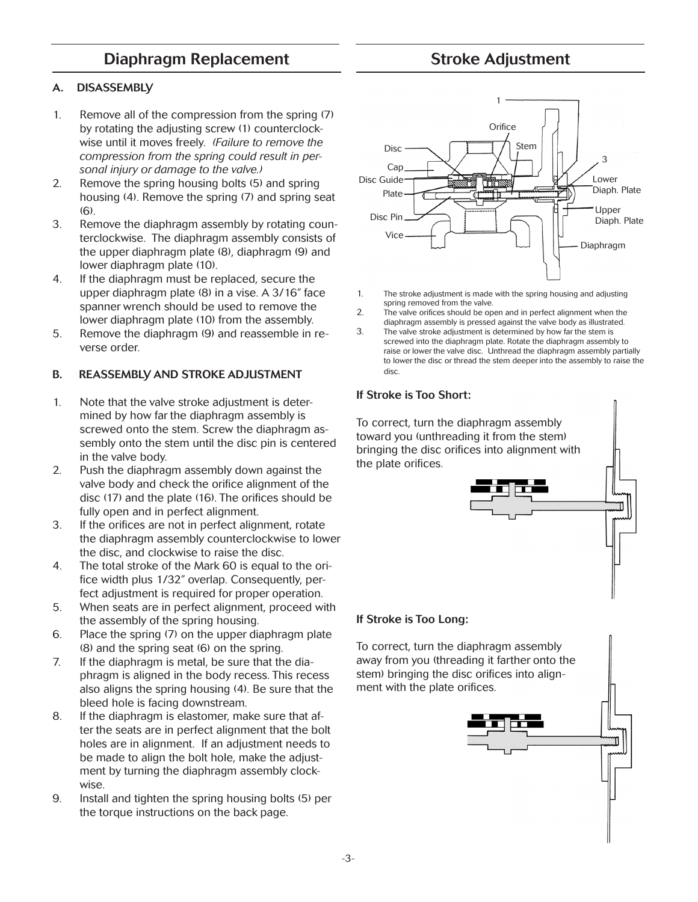## Diaphragm Replacement

# Stroke Adjustment

### A. DISASSEMBLY

- 1. Remove all of the compression from the spring (7) by rotating the adjusting screw (1) counterclockwise until it moves freely. *(Failure to remove the compression from the spring could result in personal injury or damage to the valve.)*
- 2. Remove the spring housing bolts (5) and spring housing (4). Remove the spring (7) and spring seat  $(6)$ .
- 3. Remove the diaphragm assembly by rotating counterclockwise. The diaphragm assembly consists of the upper diaphragm plate (8), diaphragm (9) and lower diaphragm plate (10).
- 4. If the diaphragm must be replaced, secure the upper diaphragm plate (8) in a vise. A 3/16" face spanner wrench should be used to remove the lower diaphragm plate (10) from the assembly.
- 5. Remove the diaphragm (9) and reassemble in reverse order.

### B. REASSEMBLY AND STROKE ADJUSTMENT

- 1. Note that the valve stroke adjustment is determined by how far the diaphragm assembly is screwed onto the stem. Screw the diaphragm assembly onto the stem until the disc pin is centered in the valve body.
- 2. Push the diaphragm assembly down against the valve body and check the orifice alignment of the disc (17) and the plate (16). The orifices should be fully open and in perfect alignment.
- 3. If the orifices are not in perfect alignment, rotate the diaphragm assembly counterclockwise to lower the disc, and clockwise to raise the disc.
- 4. The total stroke of the Mark 60 is equal to the orifice width plus 1/32" overlap. Consequently, perfect adjustment is required for proper operation.
- 5. When seats are in perfect alignment, proceed with the assembly of the spring housing.
- 6. Place the spring (7) on the upper diaphragm plate (8) and the spring seat (6) on the spring.
- 7. If the diaphragm is metal, be sure that the diaphragm is aligned in the body recess. This recess also aligns the spring housing (4). Be sure that the bleed hole is facing downstream.
- 8. If the diaphragm is elastomer, make sure that after the seats are in perfect alignment that the bolt holes are in alignment. If an adjustment needs to be made to align the bolt hole, make the adjustment by turning the diaphragm assembly clockwise.
- 9. Install and tighten the spring housing bolts (5) per the torque instructions on the back page.



- 1. The stroke adjustment is made with the spring housing and adjusting spring removed from the valve.
- 2. The valve orifices should be open and in perfect alignment when the diaphragm assembly is pressed against the valve body as illustrated.
- 3. The valve stroke adjustment is determined by how far the stem is screwed into the diaphragm plate. Rotate the diaphragm assembly to raise or lower the valve disc. Unthread the diaphragm assembly partially to lower the disc or thread the stem deeper into the assembly to raise the disc.

#### If Stroke is Too Short:

To correct, turn the diaphragm assembly toward you (unthreading it from the stem) bringing the disc orifices into alignment with the plate orifices.



### If Stroke is Too Long:

To correct, turn the diaphragm assembly away from you (threading it farther onto the stem) bringing the disc orifices into alignment with the plate orifices.

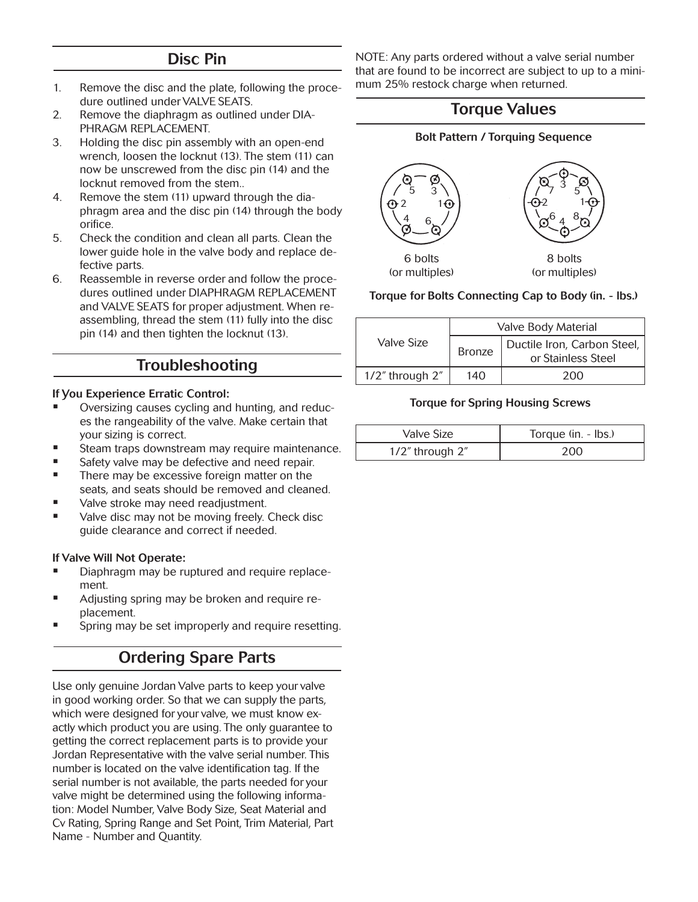### Disc Pin

- 1. Remove the disc and the plate, following the procedure outlined under VALVE SEATS.
- 2. Remove the diaphragm as outlined under DIA-PHRAGM REPLACEMENT.
- 3. Holding the disc pin assembly with an open-end wrench, loosen the locknut (13). The stem (11) can now be unscrewed from the disc pin (14) and the locknut removed from the stem..
- 4. Remove the stem (11) upward through the diaphragm area and the disc pin (14) through the body orifice.
- 5. Check the condition and clean all parts. Clean the lower guide hole in the valve body and replace defective parts.
- 6. Reassemble in reverse order and follow the procedures outlined under DIAPHRAGM REPLACEMENT and VALVE SEATS for proper adjustment. When reassembling, thread the stem (11) fully into the disc pin (14) and then tighten the locknut (13).

# Troubleshooting

### If You Experience Erratic Control:

- Oversizing causes cycling and hunting, and reduces the rangeability of the valve. Make certain that your sizing is correct.
- Steam traps downstream may require maintenance.
- Safety valve may be defective and need repair.
- There may be excessive foreign matter on the seats, and seats should be removed and cleaned.
- Valve stroke may need readjustment.
- Valve disc may not be moving freely. Check disc guide clearance and correct if needed.

### If Valve Will Not Operate:

- Diaphragm may be ruptured and require replacement.
- Adjusting spring may be broken and require replacement.
- Spring may be set improperly and require resetting.

# Ordering Spare Parts

Use only genuine Jordan Valve parts to keep your valve in good working order. So that we can supply the parts, which were designed for your valve, we must know exactly which product you are using. The only guarantee to getting the correct replacement parts is to provide your Jordan Representative with the valve serial number. This number is located on the valve identification tag. If the serial number is not available, the parts needed for your valve might be determined using the following information: Model Number, Valve Body Size, Seat Material and Cv Rating, Spring Range and Set Point, Trim Material, Part Name - Number and Quantity.

NOTE: Any parts ordered without a valve serial number that are found to be incorrect are subject to up to a minimum 25% restock charge when returned.

### Torque Values

#### Bolt Pattern / Torquing Sequence



### Torque for Bolts Connecting Cap to Body (in. - lbs.)

| Valve Size            | Valve Body Material |                                                     |  |
|-----------------------|---------------------|-----------------------------------------------------|--|
|                       | <b>Bronze</b>       | Ductile Iron, Carbon Steel,  <br>or Stainless Steel |  |
| $1/2$ " through $2$ " | 140                 | 200                                                 |  |

### Torque for Spring Housing Screws

| Valve Size      | Torque (in. - lbs.) |
|-----------------|---------------------|
| 1/2" through 2" | აიი                 |